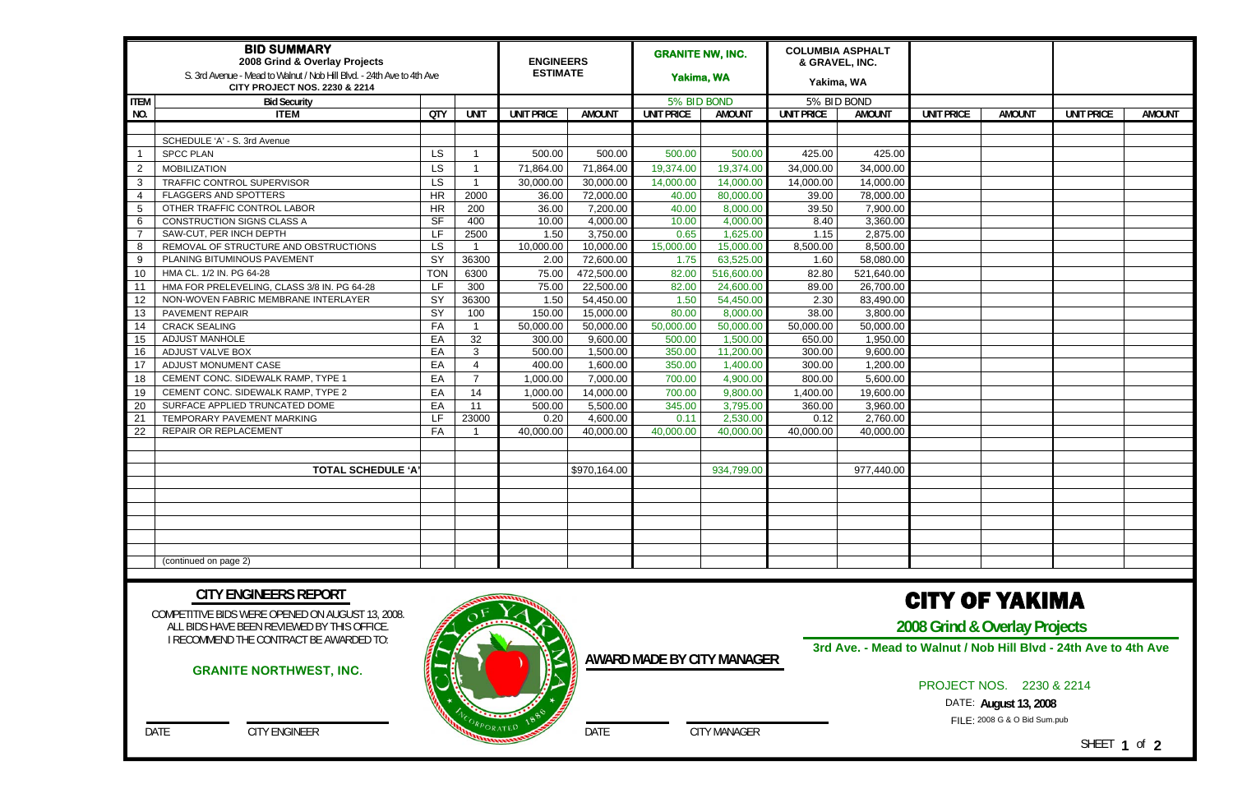| <b>BID SUMMARY</b><br>2008 Grind & Overlay Projects<br>S. 3rd Avenue - Mead to Walnut / Nob Hill Blvd. - 24th Ave to 4th Ave<br><b>CITY PROJECT NOS. 2230 &amp; 2214</b> |                                             |            |                       |                   | <b>ENGINEERS</b><br><b>ESTIMATE</b> |                   | <b>GRANITE NW, INC.</b><br>Yakima, WA |                   | <b>COLUMBIA ASPHALT</b><br>& GRAVEL, INC.<br>Yakima, WA |                   |               |                   |               |
|--------------------------------------------------------------------------------------------------------------------------------------------------------------------------|---------------------------------------------|------------|-----------------------|-------------------|-------------------------------------|-------------------|---------------------------------------|-------------------|---------------------------------------------------------|-------------------|---------------|-------------------|---------------|
| <b>ITEM</b><br><b>Bid Security</b>                                                                                                                                       |                                             |            |                       |                   | 5% BID BOND                         |                   | 5% BID BOND                           |                   |                                                         |                   |               |                   |               |
| NO.                                                                                                                                                                      | <b>ITEM</b>                                 | <b>QTY</b> | <b>UNIT</b>           | <b>UNIT PRICE</b> | <b>AMOUNT</b>                       | <b>UNIT PRICE</b> | <b>AMOUNT</b>                         | <b>UNIT PRICE</b> | <b>AMOUNT</b>                                           | <b>UNIT PRICE</b> | <b>AMOUNT</b> | <b>UNIT PRICE</b> | <b>AMOUNT</b> |
|                                                                                                                                                                          |                                             |            |                       |                   |                                     |                   |                                       |                   |                                                         |                   |               |                   |               |
|                                                                                                                                                                          | SCHEDULE 'A' - S. 3rd Avenue                |            |                       |                   |                                     |                   |                                       |                   |                                                         |                   |               |                   |               |
|                                                                                                                                                                          | <b>SPCC PLAN</b>                            | <b>LS</b>  |                       | 500.00            | 500.00                              | 500.00            | 500.00                                | 425.00            | 425.00                                                  |                   |               |                   |               |
| $\overline{2}$                                                                                                                                                           | <b>MOBILIZATION</b>                         | <b>LS</b>  |                       | 71,864.00         | 71,864.00                           | 19,374.00         | 19,374.00                             | 34,000.00         | 34,000.00                                               |                   |               |                   |               |
| 3                                                                                                                                                                        | TRAFFIC CONTROL SUPERVISOR                  | <b>LS</b>  |                       | 30,000.00         | 30,000.00                           | 14,000.00         | 14,000.00                             | 14,000.00         | 14,000.00                                               |                   |               |                   |               |
| 4                                                                                                                                                                        | FLAGGERS AND SPOTTERS                       | HR         | 2000                  | 36.00             | 72,000.00                           | 40.00             | 80,000.00                             | 39.00             | 78,000.00                                               |                   |               |                   |               |
| 5                                                                                                                                                                        | OTHER TRAFFIC CONTROL LABOR                 | <b>HR</b>  | 200                   | 36.00             | 7,200.00                            | 40.00             | 8,000.00                              | 39.50             | 7,900.00                                                |                   |               |                   |               |
| 6                                                                                                                                                                        | CONSTRUCTION SIGNS CLASS A                  | $S$ F      | 400                   | 10.00             | 4,000.00                            | 10.00             | 4,000.00                              | 8.40              | 3,360.00                                                |                   |               |                   |               |
|                                                                                                                                                                          | SAW-CUT, PER INCH DEPTH                     | LF.        | 2500                  | 1.50              | 3,750.00                            | 0.65              | 1,625.00                              | 1.15              | 2,875.00                                                |                   |               |                   |               |
| 8                                                                                                                                                                        | REMOVAL OF STRUCTURE AND OBSTRUCTIONS       | <b>LS</b>  |                       | 10,000.00         | 10,000.00                           | 15,000.00         | 15,000.00                             | 8,500.00          | 8,500.00                                                |                   |               |                   |               |
| 9                                                                                                                                                                        | PLANING BITUMINOUS PAVEMENT                 | SY         | 36300                 | 2.00              | 72,600.00                           | 1.75              | 63,525.00                             | 1.60              | 58,080.00                                               |                   |               |                   |               |
| 10                                                                                                                                                                       | HMA CL. 1/2 IN. PG 64-28                    | <b>TON</b> | 6300                  | 75.00             | 472,500.00                          | 82.00             | 516,600.00                            | 82.80             | 521,640.00                                              |                   |               |                   |               |
| 11                                                                                                                                                                       | HMA FOR PRELEVELING, CLASS 3/8 IN. PG 64-28 | I F.       | 300                   | 75.00             | 22,500.00                           | 82.00             | 24,600.00                             | 89.00             | 26,700.00                                               |                   |               |                   |               |
| 12                                                                                                                                                                       | NON-WOVEN FABRIC MEMBRANE INTERLAYER        | SY         | 36300                 | 1.50              | 54,450.00                           | 1.50              | 54,450.00                             | 2.30              | 83,490.00                                               |                   |               |                   |               |
| 13                                                                                                                                                                       | PAVEMENT REPAIR                             | SY         | 100                   | 150.00            | 15,000.00                           | 80.00             | 8,000.00                              | 38.00             | 3,800.00                                                |                   |               |                   |               |
| 14                                                                                                                                                                       | <b>CRACK SEALING</b>                        | FA         |                       | 50,000.00         | 50,000.00                           | 50,000.00         | 50,000.00                             | 50,000.00         | 50,000.00                                               |                   |               |                   |               |
| 15                                                                                                                                                                       | <b>ADJUST MANHOLE</b>                       | EA         | 32                    | 300.00            | 9,600.00                            | 500.00            | 1,500.00                              | 650.00            | 1,950.00                                                |                   |               |                   |               |
| 16                                                                                                                                                                       | ADJUST VALVE BOX                            | EA         | 3                     | 500.00            | 1,500.00                            | 350.00            | 11,200.00                             | 300.00            | 9,600.00                                                |                   |               |                   |               |
| 17                                                                                                                                                                       | ADJUST MONUMENT CASE                        | EA         | $\boldsymbol{\Delta}$ | 400.00            | 1,600.00                            | 350.00            | 1,400.00                              | 300.00            | 1,200.00                                                |                   |               |                   |               |
| 18                                                                                                                                                                       | CEMENT CONC. SIDEWALK RAMP, TYPE 1          | EA         | $\overline{7}$        | 1,000.00          | 7,000.00                            | 700.00            | 4,900.00                              | 800.00            | 5,600.00                                                |                   |               |                   |               |
| 19                                                                                                                                                                       | CEMENT CONC. SIDEWALK RAMP, TYPE 2          | EA         | 14                    | 1,000.00          | 14,000.00                           | 700.00            | 9,800.00                              | 1,400.00          | 19,600.00                                               |                   |               |                   |               |
| 20                                                                                                                                                                       | SURFACE APPLIED TRUNCATED DOME              | EA         | 11                    | 500.00            | 5,500.00                            | 345.00            | 3,795.00                              | 360.00            | 3,960.00                                                |                   |               |                   |               |
| 21                                                                                                                                                                       | TEMPORARY PAVEMENT MARKING                  | LF.        | 23000                 | 0.20              | 4,600.00                            | 0.11              | 2,530.00                              | 0.12              | 2,760.00                                                |                   |               |                   |               |
| 22                                                                                                                                                                       | REPAIR OR REPLACEMENT                       | FA         |                       | 40,000.00         | 40,000.00                           | 40,000.00         | 40,000.00                             | 40,000.00         | 40,000.00                                               |                   |               |                   |               |
|                                                                                                                                                                          |                                             |            |                       |                   |                                     |                   |                                       |                   |                                                         |                   |               |                   |               |
|                                                                                                                                                                          |                                             |            |                       |                   |                                     |                   |                                       |                   |                                                         |                   |               |                   |               |
|                                                                                                                                                                          | <b>TOTAL SCHEDULE 'A'</b>                   |            |                       |                   | \$970,164.00                        |                   | 934,799.00                            |                   | 977,440.00                                              |                   |               |                   |               |
|                                                                                                                                                                          |                                             |            |                       |                   |                                     |                   |                                       |                   |                                                         |                   |               |                   |               |
|                                                                                                                                                                          |                                             |            |                       |                   |                                     |                   |                                       |                   |                                                         |                   |               |                   |               |
|                                                                                                                                                                          |                                             |            |                       |                   |                                     |                   |                                       |                   |                                                         |                   |               |                   |               |
|                                                                                                                                                                          |                                             |            |                       |                   |                                     |                   |                                       |                   |                                                         |                   |               |                   |               |
|                                                                                                                                                                          |                                             |            |                       |                   |                                     |                   |                                       |                   |                                                         |                   |               |                   |               |
|                                                                                                                                                                          |                                             |            |                       |                   |                                     |                   |                                       |                   |                                                         |                   |               |                   |               |
|                                                                                                                                                                          | (continued on page 2)                       |            |                       |                   |                                     |                   |                                       |                   |                                                         |                   |               |                   |               |

COMPETITIVE BIDS WERE OPENED ON AUGUST 13, 2008. ALL BIDS HAVE BEEN REVIEWED BY THIS OFFICE. I RECOMMEND THE CONTRACT BE AWARDED TO:

DATE CITY ENGINEER

#### **CITY ENGINEERS REPORT**

DATE CITY MANAGER

**AWARD MADE BY CITY MANAGER**

# CITY OF YAKIMA

**2008 Grind & Overlay Projects** 

PROJECT NOS. 2230 & 2214

FILE: 2008 G & O Bid Sum.pub DATE: **August 13, 2008** 

SHEET **1** of **2**

### **GRANITE NORTHWEST, INC.**



**3rd Ave. - Mead to Walnut / Nob Hill Blvd - 24th Ave to 4th Ave**